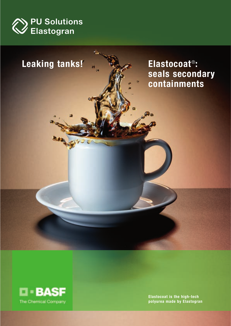





**Elastocoat is the high-tech polyurea made by Elastogran**